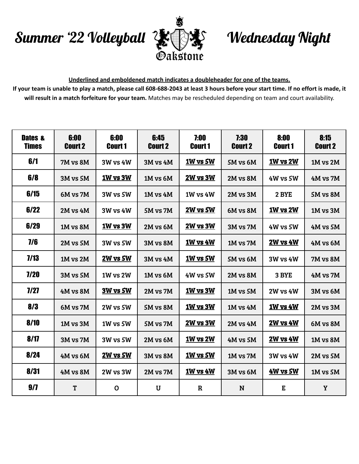## Summer '22 Volleyball



## Wednesday Night

## **Underlined and emboldened match indicates a doubleheader for one of the teams.**

If your team is unable to play a match, please call 608-688-2043 at least 3 hours before your start time. If no effort is made, it **will result in a match forfeiture for your team.** Matches may be rescheduled depending on team and court availability.

| <b>Dates &amp;</b><br><b>Times</b> | 6:00<br><b>Court 2</b> | 6:00<br><b>Court 1</b> | 6:45<br><b>Court 2</b> | 7:00<br><b>Court 1</b> | 7:30<br><b>Court 2</b> | 8:00<br><b>Court 1</b> | 8:15<br><b>Court 2</b> |
|------------------------------------|------------------------|------------------------|------------------------|------------------------|------------------------|------------------------|------------------------|
| 6/1                                | 7M vs 8M               | <b>3W vs 4W</b>        | 3M vs 4M               | 1W vs 5W               | 5M vs 6M               | <b>1W vs 2W</b>        | 1M vs 2M               |
| 6/8                                | 3M vs 5M               | 1W vs 3W               | 1M vs 6M               | <b>2W vs 3W</b>        | 2M vs 8M               | 4W vs 5W               | 4M vs 7M               |
| 6/15                               | 6M vs 7M               | <b>3W vs 5W</b>        | 1M vs 4M               | <b>1W vs 4W</b>        | 2M vs 3M               | 2 BYE                  | 5M vs 8M               |
| 6/22                               | 2M vs 4M               | <b>3W vs 4W</b>        | 5M vs 7M               | <u>2W vs 5W</u>        | 6M vs 8M               | <b>1W vs 2W</b>        | 1M vs 3M               |
| 6/29                               | 1M vs 8M               | 1W vs 3W               | 2M vs 6M               | <b>2W vs 3W</b>        | 3M vs 7M               | <b>4W vs 5W</b>        | 4M vs 5M               |
| 7/6                                | 2M vs 5M               | <b>3W vs 5W</b>        | 3M vs 8M               | <b>1W vs 4W</b>        | 1M vs 7M               | <b>2W vs 4W</b>        | 4M vs 6M               |
| 7/13                               | $1M$ vs $2M$           | 2W vs 5W               | <b>3M vs 4M</b>        | 1W vs 5W               | 5M vs 6M               | <b>3W vs 4W</b>        | 7M vs 8M               |
| 7/20                               | 3M vs 5M               | 1W vs 2W               | 1M vs 6M               | 4W vs 5W               | 2M vs 8M               | 3 BYE                  | 4M vs 7M               |
| 7/27                               | 4M vs 8M               | 3W vs 5W               | 2M vs 7M               | 1W vs 3W               | $1M$ vs $5M$           | <b>2W vs 4W</b>        | 3M vs 6M               |
| 8/3                                | 6M vs 7M               | 2W vs 5W               | 5M vs 8M               | 1W vs 3W               | $1M$ vs $4M$           | <b>1W vs 4W</b>        | 2M vs 3M               |
| 8/10                               | 1M vs 3M               | 1W vs 5W               | 5M vs 7M               | <b>2W vs 3W</b>        | $2M$ vs $4M$           | <b>2W vs 4W</b>        | 6M vs 8M               |
| 8/17                               | 3M vs 7M               | 3W vs 5W               | 2M vs 6M               | 1W vs 2W               | 4M vs 5M               | <b>2W vs 4W</b>        | 1M vs 8M               |
| 8/24                               | 4M vs 6M               | 2W vs 5W               | <b>3M vs 8M</b>        | <b>1W vs 5W</b>        | 1M vs 7M               | <b>3W vs 4W</b>        | 2M vs 5M               |
| 8/31                               | 4M vs 8M               | 2W vs 3W               | 2M vs 7M               | <b>1W vs 4W</b>        | 3M vs 6M               | 4W vs 5W               | 1M vs 5M               |
| 9/7                                | T                      | $\mathbf 0$            | U                      | $\mathbf R$            | N                      | E                      | Y                      |